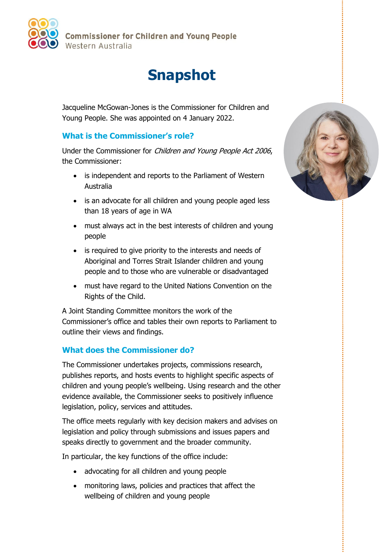

**Commissioner for Children and Young People** Western Australia

## **Snapshot**

Jacqueline McGowan-Jones is the Commissioner for Children and Young People. She was appointed on 4 January 2022.

## **What is the Commissioner's role?**

Under the Commissioner for Children and Young People Act 2006, the Commissioner:

- is independent and reports to the Parliament of Western Australia
- is an advocate for all children and young people aged less than 18 years of age in WA
- must always act in the best interests of children and young people
- is required to give priority to the interests and needs of Aboriginal and Torres Strait Islander children and young people and to those who are vulnerable or disadvantaged
- must have regard to the United Nations Convention on the Rights of the Child.

A Joint Standing Committee monitors the work of the Commissioner's office and tables their own reports to Parliament to outline their views and findings.

## **What does the Commissioner do?**

The Commissioner undertakes projects, commissions research, publishes reports, and hosts events to highlight specific aspects of children and young people's wellbeing. Using research and the other evidence available, the Commissioner seeks to positively influence legislation, policy, services and attitudes.

The office meets regularly with key decision makers and advises on legislation and policy through submissions and issues papers and speaks directly to government and the broader community.

In particular, the key functions of the office include:

- advocating for all children and young people
- monitoring laws, policies and practices that affect the wellbeing of children and young people